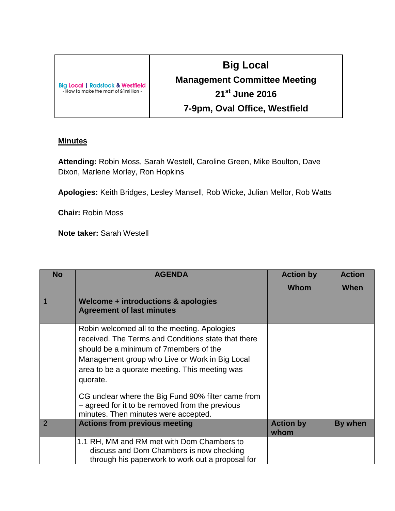| <b>Big Local   Radstock &amp; Westfield</b><br>- How to make the most of £1 million - |  |
|---------------------------------------------------------------------------------------|--|
|                                                                                       |  |

## **Big Local Management Committee Meeting 21st June 2016 7-9pm, Oval Office, Westfield**

## **Minutes**

**Attending:** Robin Moss, Sarah Westell, Caroline Green, Mike Boulton, Dave Dixon, Marlene Morley, Ron Hopkins

**Apologies:** Keith Bridges, Lesley Mansell, Rob Wicke, Julian Mellor, Rob Watts

**Chair:** Robin Moss

**Note taker:** Sarah Westell

| <b>No</b>      | <b>AGENDA</b>                                                                                                                                                                                                                                                                                                                                                                                                   | <b>Action by</b>         | <b>Action</b> |
|----------------|-----------------------------------------------------------------------------------------------------------------------------------------------------------------------------------------------------------------------------------------------------------------------------------------------------------------------------------------------------------------------------------------------------------------|--------------------------|---------------|
|                |                                                                                                                                                                                                                                                                                                                                                                                                                 | <b>Whom</b>              | When          |
|                | Welcome + introductions & apologies<br><b>Agreement of last minutes</b>                                                                                                                                                                                                                                                                                                                                         |                          |               |
|                | Robin welcomed all to the meeting. Apologies<br>received. The Terms and Conditions state that there<br>should be a minimum of 7 members of the<br>Management group who Live or Work in Big Local<br>area to be a quorate meeting. This meeting was<br>quorate.<br>CG unclear where the Big Fund 90% filter came from<br>- agreed for it to be removed from the previous<br>minutes. Then minutes were accepted. |                          |               |
| $\overline{2}$ | <b>Actions from previous meeting</b>                                                                                                                                                                                                                                                                                                                                                                            | <b>Action by</b><br>whom | By when       |
|                | 1.1 RH, MM and RM met with Dom Chambers to<br>discuss and Dom Chambers is now checking<br>through his paperwork to work out a proposal for                                                                                                                                                                                                                                                                      |                          |               |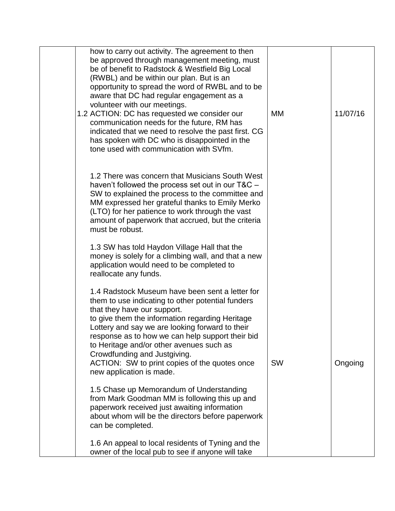| how to carry out activity. The agreement to then<br>be approved through management meeting, must<br>be of benefit to Radstock & Westfield Big Local<br>(RWBL) and be within our plan. But is an<br>opportunity to spread the word of RWBL and to be<br>aware that DC had regular engagement as a<br>volunteer with our meetings.<br>1.2 ACTION: DC has requested we consider our<br>communication needs for the future, RM has<br>indicated that we need to resolve the past first. CG<br>has spoken with DC who is disappointed in the<br>tone used with communication with SVfm. | МM        | 11/07/16 |
|------------------------------------------------------------------------------------------------------------------------------------------------------------------------------------------------------------------------------------------------------------------------------------------------------------------------------------------------------------------------------------------------------------------------------------------------------------------------------------------------------------------------------------------------------------------------------------|-----------|----------|
| 1.2 There was concern that Musicians South West<br>haven't followed the process set out in our T&C -<br>SW to explained the process to the committee and<br>MM expressed her grateful thanks to Emily Merko<br>(LTO) for her patience to work through the vast<br>amount of paperwork that accrued, but the criteria<br>must be robust.<br>1.3 SW has told Haydon Village Hall that the<br>money is solely for a climbing wall, and that a new                                                                                                                                     |           |          |
| application would need to be completed to<br>reallocate any funds.<br>1.4 Radstock Museum have been sent a letter for<br>them to use indicating to other potential funders<br>that they have our support.<br>to give them the information regarding Heritage<br>Lottery and say we are looking forward to their<br>response as to how we can help support their bid<br>to Heritage and/or other avenues such as<br>Crowdfunding and Justgiving.<br>ACTION: SW to print copies of the quotes once<br>new application is made.                                                       | <b>SW</b> | Ongoing  |
| 1.5 Chase up Memorandum of Understanding<br>from Mark Goodman MM is following this up and<br>paperwork received just awaiting information<br>about whom will be the directors before paperwork<br>can be completed.<br>1.6 An appeal to local residents of Tyning and the<br>owner of the local pub to see if anyone will take                                                                                                                                                                                                                                                     |           |          |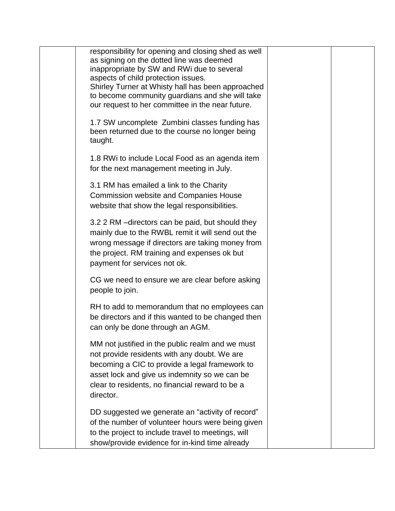| responsibility for opening and closing shed as well<br>as signing on the dotted line was deemed<br>inappropriate by SW and RWi due to several<br>aspects of child protection issues.<br>Shirley Turner at Whisty hall has been approached<br>to become community guardians and she will take<br>our request to her committee in the near future. |  |
|--------------------------------------------------------------------------------------------------------------------------------------------------------------------------------------------------------------------------------------------------------------------------------------------------------------------------------------------------|--|
| 1.7 SW uncomplete Zumbini classes funding has<br>been returned due to the course no longer being<br>taught.                                                                                                                                                                                                                                      |  |
| 1.8 RWi to include Local Food as an agenda item<br>for the next management meeting in July.                                                                                                                                                                                                                                                      |  |
| 3.1 RM has emailed a link to the Charity<br><b>Commission website and Companies House</b><br>website that show the legal responsibilities.                                                                                                                                                                                                       |  |
| 3.2 2 RM - directors can be paid, but should they<br>mainly due to the RWBL remit it will send out the<br>wrong message if directors are taking money from<br>the project. RM training and expenses ok but<br>payment for services not ok.                                                                                                       |  |
| CG we need to ensure we are clear before asking<br>people to join.                                                                                                                                                                                                                                                                               |  |
| RH to add to memorandum that no employees can<br>be directors and if this wanted to be changed then<br>can only be done through an AGM.                                                                                                                                                                                                          |  |
| MM not justified in the public realm and we must<br>not provide residents with any doubt. We are<br>becoming a CIC to provide a legal framework to<br>asset lock and give us indemnity so we can be<br>clear to residents, no financial reward to be a<br>director.                                                                              |  |
| DD suggested we generate an "activity of record"<br>of the number of volunteer hours were being given<br>to the project to include travel to meetings, will<br>show/provide evidence for in-kind time already                                                                                                                                    |  |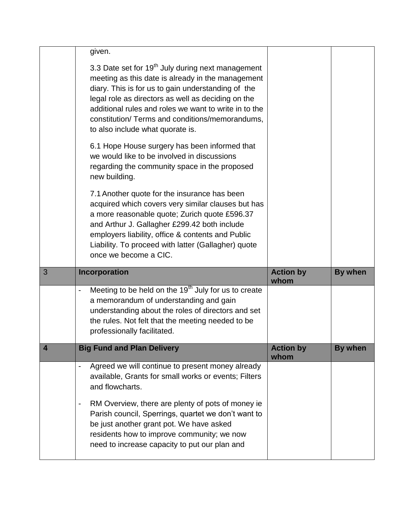|                         | given.                                                                                                                                                                                                                                                                                                                                                                         |                          |                |
|-------------------------|--------------------------------------------------------------------------------------------------------------------------------------------------------------------------------------------------------------------------------------------------------------------------------------------------------------------------------------------------------------------------------|--------------------------|----------------|
|                         | 3.3 Date set for 19 <sup>th</sup> July during next management<br>meeting as this date is already in the management<br>diary. This is for us to gain understanding of the<br>legal role as directors as well as deciding on the<br>additional rules and roles we want to write in to the<br>constitution/ Terms and conditions/memorandums,<br>to also include what quorate is. |                          |                |
|                         | 6.1 Hope House surgery has been informed that<br>we would like to be involved in discussions<br>regarding the community space in the proposed<br>new building.                                                                                                                                                                                                                 |                          |                |
|                         | 7.1 Another quote for the insurance has been<br>acquired which covers very similar clauses but has<br>a more reasonable quote; Zurich quote £596.37<br>and Arthur J. Gallagher £299.42 both include<br>employers liability, office & contents and Public<br>Liability. To proceed with latter (Gallagher) quote                                                                |                          |                |
|                         | once we become a CIC.                                                                                                                                                                                                                                                                                                                                                          |                          |                |
| 3                       | Incorporation                                                                                                                                                                                                                                                                                                                                                                  | <b>Action by</b><br>whom | <b>By when</b> |
|                         | Meeting to be held on the 19 <sup>th</sup> July for us to create<br>a memorandum of understanding and gain<br>understanding about the roles of directors and set<br>the rules. Not felt that the meeting needed to be<br>professionally facilitated.                                                                                                                           |                          |                |
| $\overline{\mathbf{4}}$ | <b>Big Fund and Plan Delivery</b>                                                                                                                                                                                                                                                                                                                                              | <b>Action by</b><br>whom | <b>By when</b> |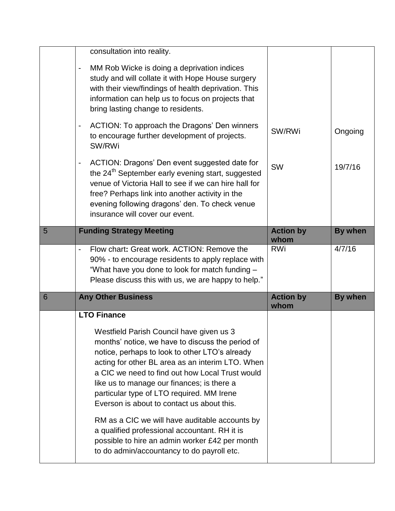|   | consultation into reality.                                                                                                                                                                                                                                                                                                                                                                                                                       |                          |                |
|---|--------------------------------------------------------------------------------------------------------------------------------------------------------------------------------------------------------------------------------------------------------------------------------------------------------------------------------------------------------------------------------------------------------------------------------------------------|--------------------------|----------------|
|   | MM Rob Wicke is doing a deprivation indices<br>study and will collate it with Hope House surgery<br>with their view/findings of health deprivation. This<br>information can help us to focus on projects that<br>bring lasting change to residents.                                                                                                                                                                                              |                          |                |
|   | ACTION: To approach the Dragons' Den winners<br>to encourage further development of projects.<br>SW/RWi                                                                                                                                                                                                                                                                                                                                          | SW/RWi                   | Ongoing        |
|   | ACTION: Dragons' Den event suggested date for<br>the 24 <sup>th</sup> September early evening start, suggested<br>venue of Victoria Hall to see if we can hire hall for<br>free? Perhaps link into another activity in the<br>evening following dragons' den. To check venue<br>insurance will cover our event.                                                                                                                                  | <b>SW</b>                | 19/7/16        |
| 5 | <b>Funding Strategy Meeting</b>                                                                                                                                                                                                                                                                                                                                                                                                                  | <b>Action by</b><br>whom | <b>By when</b> |
|   | Flow chart: Great work. ACTION: Remove the<br>90% - to encourage residents to apply replace with<br>"What have you done to look for match funding -<br>Please discuss this with us, we are happy to help."                                                                                                                                                                                                                                       | <b>RWi</b>               | 4/7/16         |
| 6 | <b>Any Other Business</b>                                                                                                                                                                                                                                                                                                                                                                                                                        | <b>Action by</b><br>whom | <b>By when</b> |
|   | <b>LTO Finance</b>                                                                                                                                                                                                                                                                                                                                                                                                                               |                          |                |
|   |                                                                                                                                                                                                                                                                                                                                                                                                                                                  |                          |                |
|   | Westfield Parish Council have given us 3<br>months' notice, we have to discuss the period of<br>notice, perhaps to look to other LTO's already<br>acting for other BL area as an interim LTO. When<br>a CIC we need to find out how Local Trust would<br>like us to manage our finances; is there a<br>particular type of LTO required. MM Irene<br>Everson is about to contact us about this.<br>RM as a CIC we will have auditable accounts by |                          |                |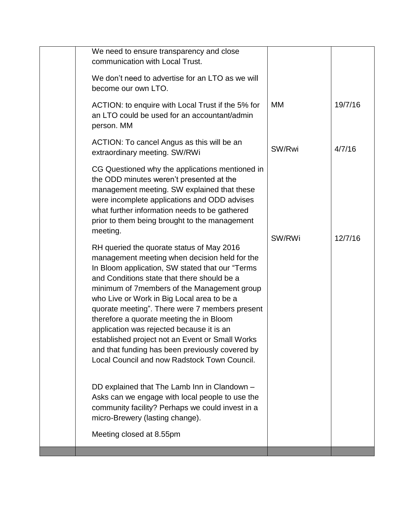| We need to ensure transparency and close<br>communication with Local Trust.                                                                                                                                                                                                                                                                                                                                                                                                                                                                                                                  |        |         |
|----------------------------------------------------------------------------------------------------------------------------------------------------------------------------------------------------------------------------------------------------------------------------------------------------------------------------------------------------------------------------------------------------------------------------------------------------------------------------------------------------------------------------------------------------------------------------------------------|--------|---------|
| We don't need to advertise for an LTO as we will<br>become our own LTO.                                                                                                                                                                                                                                                                                                                                                                                                                                                                                                                      |        |         |
| ACTION: to enquire with Local Trust if the 5% for<br>an LTO could be used for an accountant/admin<br>person. MM                                                                                                                                                                                                                                                                                                                                                                                                                                                                              | МM     | 19/7/16 |
| ACTION: To cancel Angus as this will be an<br>extraordinary meeting. SW/RWi                                                                                                                                                                                                                                                                                                                                                                                                                                                                                                                  | SW/Rwi | 4/7/16  |
| CG Questioned why the applications mentioned in<br>the ODD minutes weren't presented at the<br>management meeting. SW explained that these<br>were incomplete applications and ODD advises<br>what further information needs to be gathered<br>prior to them being brought to the management<br>meeting.                                                                                                                                                                                                                                                                                     |        |         |
| RH queried the quorate status of May 2016<br>management meeting when decision held for the<br>In Bloom application, SW stated that our "Terms"<br>and Conditions state that there should be a<br>minimum of 7 members of the Management group<br>who Live or Work in Big Local area to be a<br>quorate meeting". There were 7 members present<br>therefore a quorate meeting the in Bloom<br>application was rejected because it is an<br>established project not an Event or Small Works<br>and that funding has been previously covered by<br>Local Council and now Radstock Town Council. | SW/RWi | 12/7/16 |
| DD explained that The Lamb Inn in Clandown -<br>Asks can we engage with local people to use the<br>community facility? Perhaps we could invest in a<br>micro-Brewery (lasting change).<br>Meeting closed at 8.55pm                                                                                                                                                                                                                                                                                                                                                                           |        |         |
|                                                                                                                                                                                                                                                                                                                                                                                                                                                                                                                                                                                              |        |         |